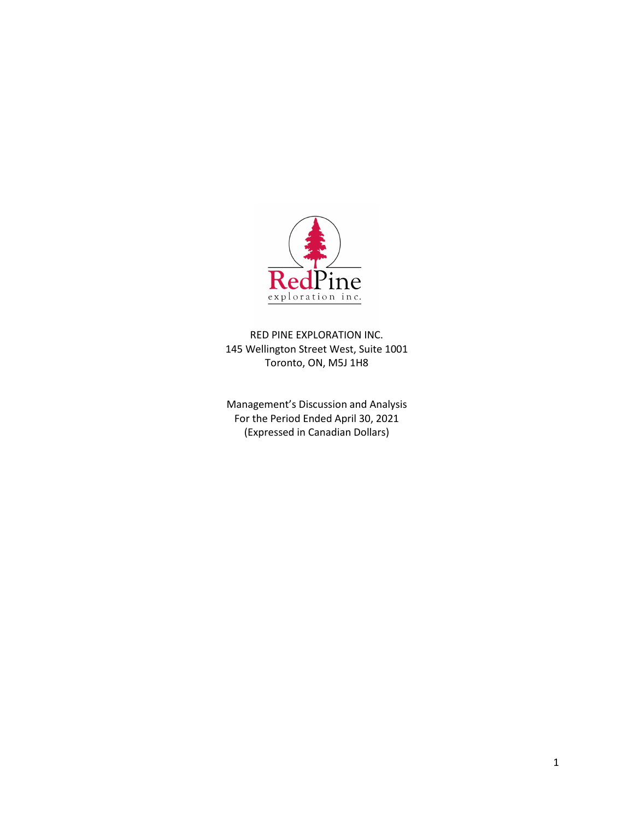

RED PINE EXPLORATION INC. 145 Wellington Street West, Suite 1001 Toronto, ON, M5J 1H8

Management's Discussion and Analysis For the Period Ended April 30, 2021 (Expressed in Canadian Dollars)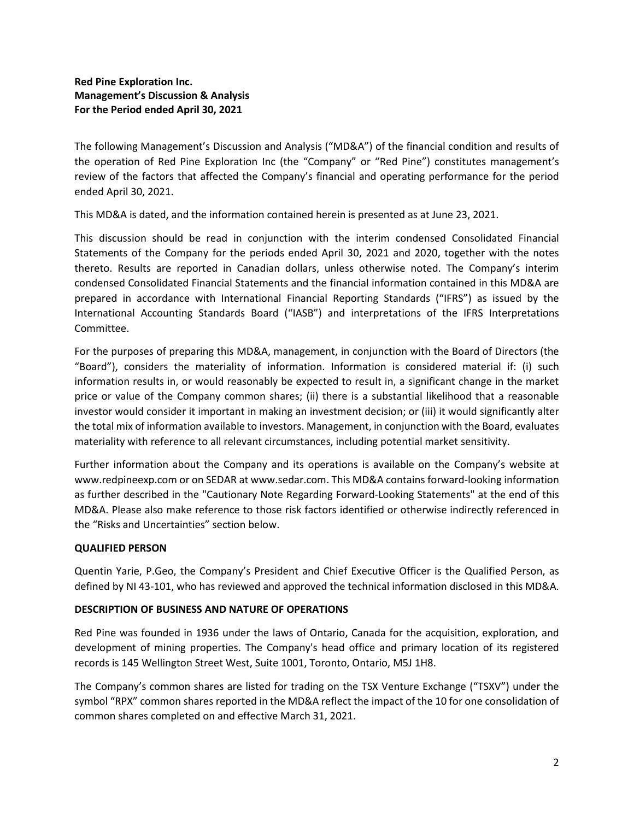# **Red Pine Exploration Inc. Management's Discussion & Analysis For the Period ended April 30, 2021**

The following Management's Discussion and Analysis ("MD&A") of the financial condition and results of the operation of Red Pine Exploration Inc (the "Company" or "Red Pine") constitutes management's review of the factors that affected the Company's financial and operating performance for the period ended April 30, 2021.

This MD&A is dated, and the information contained herein is presented as at June 23, 2021.

This discussion should be read in conjunction with the interim condensed Consolidated Financial Statements of the Company for the periods ended April 30, 2021 and 2020, together with the notes thereto. Results are reported in Canadian dollars, unless otherwise noted. The Company's interim condensed Consolidated Financial Statements and the financial information contained in this MD&A are prepared in accordance with International Financial Reporting Standards ("IFRS") as issued by the International Accounting Standards Board ("IASB") and interpretations of the IFRS Interpretations Committee.

For the purposes of preparing this MD&A, management, in conjunction with the Board of Directors (the "Board"), considers the materiality of information. Information is considered material if: (i) such information results in, or would reasonably be expected to result in, a significant change in the market price or value of the Company common shares; (ii) there is a substantial likelihood that a reasonable investor would consider it important in making an investment decision; or (iii) it would significantly alter the total mix of information available to investors. Management, in conjunction with the Board, evaluates materiality with reference to all relevant circumstances, including potential market sensitivity.

Further information about the Company and its operations is available on the Company's website at www.redpineexp.com or on SEDAR at www.sedar.com. This MD&A contains forward-looking information as further described in the "Cautionary Note Regarding Forward-Looking Statements" at the end of this MD&A. Please also make reference to those risk factors identified or otherwise indirectly referenced in the "Risks and Uncertainties" section below.

# **QUALIFIED PERSON**

Quentin Yarie, P.Geo, the Company's President and Chief Executive Officer is the Qualified Person, as defined by NI 43-101, who has reviewed and approved the technical information disclosed in this MD&A.

## **DESCRIPTION OF BUSINESS AND NATURE OF OPERATIONS**

Red Pine was founded in 1936 under the laws of Ontario, Canada for the acquisition, exploration, and development of mining properties. The Company's head office and primary location of its registered records is 145 Wellington Street West, Suite 1001, Toronto, Ontario, M5J 1H8.

The Company's common shares are listed for trading on the TSX Venture Exchange ("TSXV") under the symbol "RPX" common shares reported in the MD&A reflect the impact of the 10 for one consolidation of common shares completed on and effective March 31, 2021.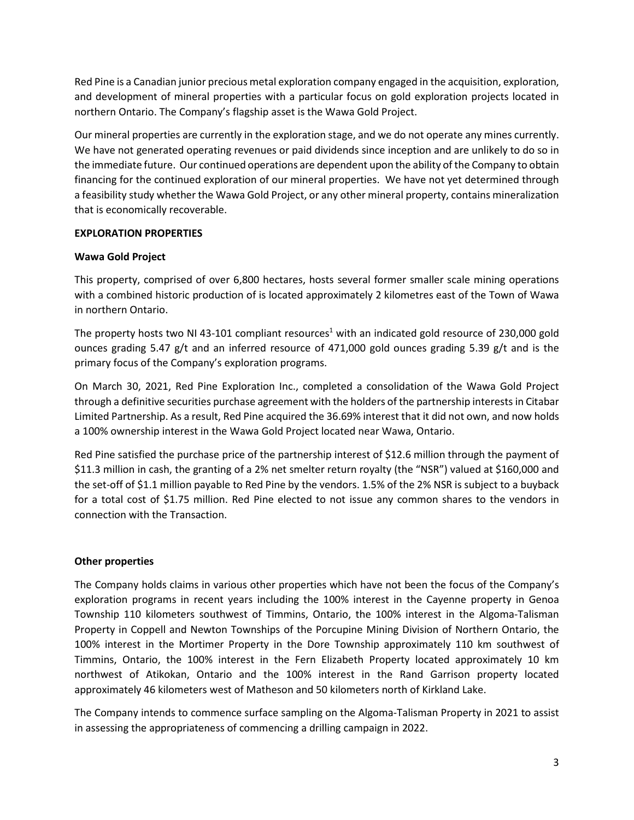Red Pine is a Canadian junior precious metal exploration company engaged in the acquisition, exploration, and development of mineral properties with a particular focus on gold exploration projects located in northern Ontario. The Company's flagship asset is the Wawa Gold Project.

Our mineral properties are currently in the exploration stage, and we do not operate any mines currently. We have not generated operating revenues or paid dividends since inception and are unlikely to do so in the immediate future. Our continued operations are dependent upon the ability of the Company to obtain financing for the continued exploration of our mineral properties. We have not yet determined through a feasibility study whether the Wawa Gold Project, or any other mineral property, contains mineralization that is economically recoverable.

# **EXPLORATION PROPERTIES**

# **Wawa Gold Project**

This property, comprised of over 6,800 hectares, hosts several former smaller scale mining operations with a combined historic production of is located approximately 2 kilometres east of the Town of Wawa in northern Ontario.

The property hosts two NI 43-101 compliant resources<sup>1</sup> with an indicated gold resource of 230,000 gold ounces grading 5.47 g/t and an inferred resource of 471,000 gold ounces grading 5.39 g/t and is the primary focus of the Company's exploration programs.

On March 30, 2021, Red Pine Exploration Inc., completed a consolidation of the Wawa Gold Project through a definitive securities purchase agreement with the holders of the partnership interests in Citabar Limited Partnership. As a result, Red Pine acquired the 36.69% interest that it did not own, and now holds a 100% ownership interest in the Wawa Gold Project located near Wawa, Ontario.

Red Pine satisfied the purchase price of the partnership interest of \$12.6 million through the payment of \$11.3 million in cash, the granting of a 2% net smelter return royalty (the "NSR") valued at \$160,000 and the set-off of \$1.1 million payable to Red Pine by the vendors. 1.5% of the 2% NSR is subject to a buyback for a total cost of \$1.75 million. Red Pine elected to not issue any common shares to the vendors in connection with the Transaction.

## **Other properties**

The Company holds claims in various other properties which have not been the focus of the Company's exploration programs in recent years including the 100% interest in the Cayenne property in Genoa Township 110 kilometers southwest of Timmins, Ontario, the 100% interest in the Algoma-Talisman Property in Coppell and Newton Townships of the Porcupine Mining Division of Northern Ontario, the 100% interest in the Mortimer Property in the Dore Township approximately 110 km southwest of Timmins, Ontario, the 100% interest in the Fern Elizabeth Property located approximately 10 km northwest of Atikokan, Ontario and the 100% interest in the Rand Garrison property located approximately 46 kilometers west of Matheson and 50 kilometers north of Kirkland Lake.

The Company intends to commence surface sampling on the Algoma-Talisman Property in 2021 to assist in assessing the appropriateness of commencing a drilling campaign in 2022.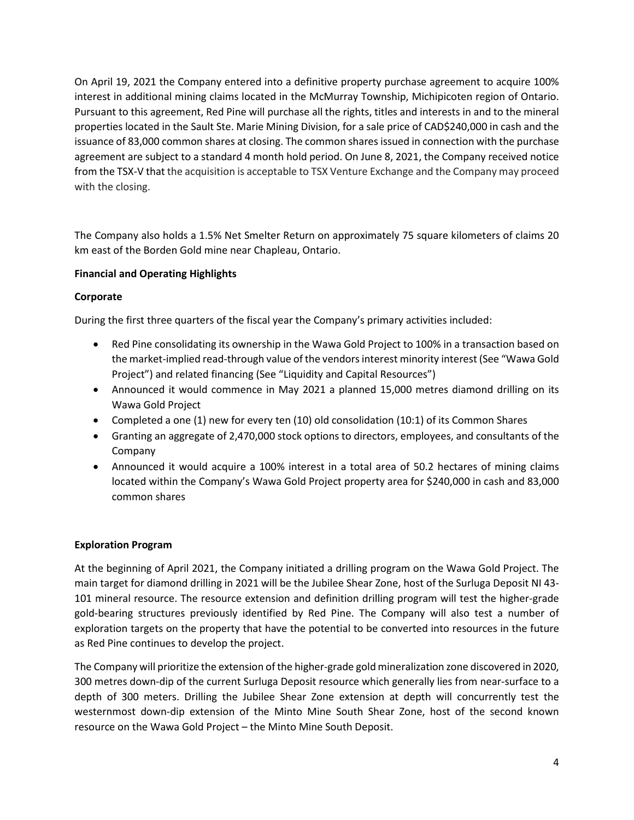On April 19, 2021 the Company entered into a definitive property purchase agreement to acquire 100% interest in additional mining claims located in the McMurray Township, Michipicoten region of Ontario. Pursuant to this agreement, Red Pine will purchase all the rights, titles and interests in and to the mineral properties located in the Sault Ste. Marie Mining Division, for a sale price of CAD\$240,000 in cash and the issuance of 83,000 common shares at closing. The common shares issued in connection with the purchase agreement are subject to a standard 4 month hold period. On June 8, 2021, the Company received notice from the TSX-V that the acquisition is acceptable to TSX Venture Exchange and the Company may proceed with the closing.

The Company also holds a 1.5% Net Smelter Return on approximately 75 square kilometers of claims 20 km east of the Borden Gold mine near Chapleau, Ontario.

# **Financial and Operating Highlights**

# **Corporate**

During the first three quarters of the fiscal year the Company's primary activities included:

- Red Pine consolidating its ownership in the Wawa Gold Project to 100% in a transaction based on the market-implied read-through value of the vendorsinterest minority interest (See "Wawa Gold Project") and related financing (See "Liquidity and Capital Resources")
- Announced it would commence in May 2021 a planned 15,000 metres diamond drilling on its Wawa Gold Project
- Completed a one (1) new for every ten (10) old consolidation (10:1) of its Common Shares
- Granting an aggregate of 2,470,000 stock options to directors, employees, and consultants of the Company
- Announced it would acquire a 100% interest in a total area of 50.2 hectares of mining claims located within the Company's Wawa Gold Project property area for \$240,000 in cash and 83,000 common shares

## **Exploration Program**

At the beginning of April 2021, the Company initiated a drilling program on the Wawa Gold Project. The main target for diamond drilling in 2021 will be the Jubilee Shear Zone, host of the Surluga Deposit NI 43- 101 mineral resource. The resource extension and definition drilling program will test the higher-grade gold-bearing structures previously identified by Red Pine. The Company will also test a number of exploration targets on the property that have the potential to be converted into resources in the future as Red Pine continues to develop the project.

The Company will prioritize the extension of the higher-grade gold mineralization zone discovered in 2020, 300 metres down-dip of the current Surluga Deposit resource which generally lies from near-surface to a depth of 300 meters. Drilling the Jubilee Shear Zone extension at depth will concurrently test the westernmost down-dip extension of the Minto Mine South Shear Zone, host of the second known resource on the Wawa Gold Project – the Minto Mine South Deposit.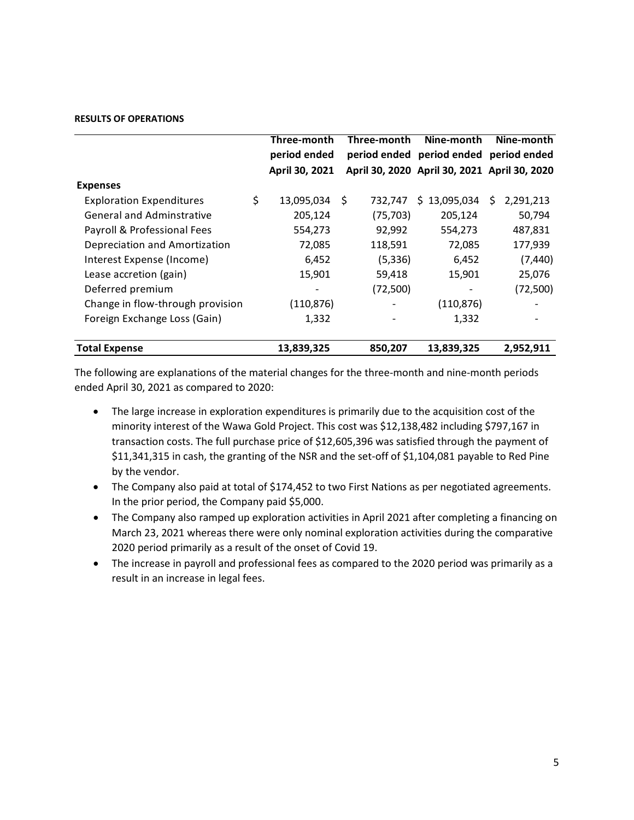#### **RESULTS OF OPERATIONS**

|                                  | Three-month<br>Three-month |              | Nine-month | Nine-month                                   |   |           |
|----------------------------------|----------------------------|--------------|------------|----------------------------------------------|---|-----------|
|                                  | period ended               |              |            | period ended period ended period ended       |   |           |
|                                  | April 30, 2021             |              |            | April 30, 2020 April 30, 2021 April 30, 2020 |   |           |
| <b>Expenses</b>                  |                            |              |            |                                              |   |           |
| <b>Exploration Expenditures</b>  | \$<br>13,095,034           | Ŝ<br>732,747 |            | \$13,095,034                                 | S | 2,291,213 |
| <b>General and Adminstrative</b> | 205,124                    | (75, 703)    |            | 205,124                                      |   | 50,794    |
| Payroll & Professional Fees      | 554,273                    | 92,992       |            | 554,273                                      |   | 487,831   |
| Depreciation and Amortization    | 72,085                     | 118,591      |            | 72,085                                       |   | 177,939   |
| Interest Expense (Income)        | 6,452                      | (5, 336)     |            | 6,452                                        |   | (7, 440)  |
| Lease accretion (gain)           | 15,901                     | 59,418       |            | 15,901                                       |   | 25,076    |
| Deferred premium                 |                            | (72,500)     |            |                                              |   | (72,500)  |
| Change in flow-through provision | (110, 876)                 |              |            | (110, 876)                                   |   |           |
| Foreign Exchange Loss (Gain)     | 1,332                      |              |            | 1,332                                        |   |           |
| <b>Total Expense</b>             | 13,839,325                 | 850,207      |            | 13,839,325                                   |   | 2,952,911 |

The following are explanations of the material changes for the three-month and nine-month periods ended April 30, 2021 as compared to 2020:

- The large increase in exploration expenditures is primarily due to the acquisition cost of the minority interest of the Wawa Gold Project. This cost was \$12,138,482 including \$797,167 in transaction costs. The full purchase price of \$12,605,396 was satisfied through the payment of \$11,341,315 in cash, the granting of the NSR and the set-off of \$1,104,081 payable to Red Pine by the vendor.
- The Company also paid at total of \$174,452 to two First Nations as per negotiated agreements. In the prior period, the Company paid \$5,000.
- The Company also ramped up exploration activities in April 2021 after completing a financing on March 23, 2021 whereas there were only nominal exploration activities during the comparative 2020 period primarily as a result of the onset of Covid 19.
- The increase in payroll and professional fees as compared to the 2020 period was primarily as a result in an increase in legal fees.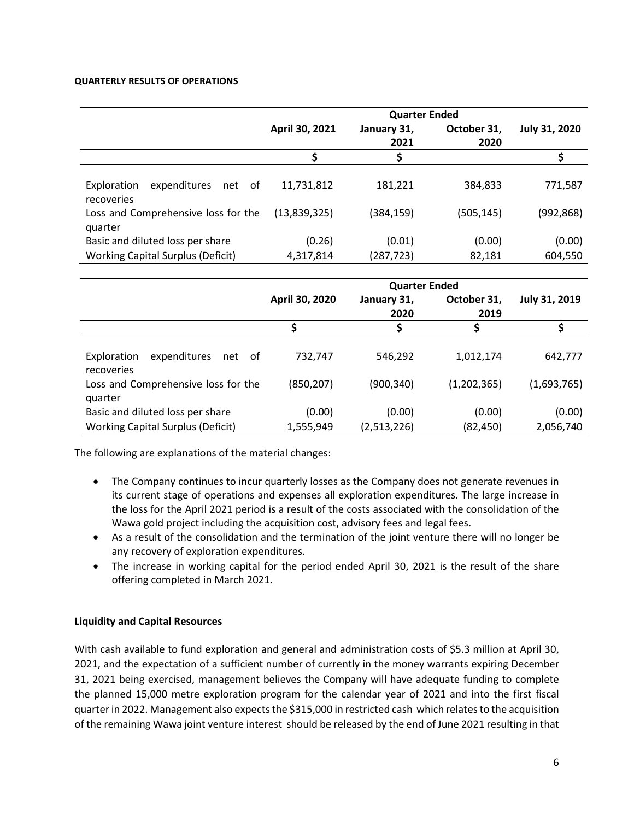#### **QUARTERLY RESULTS OF OPERATIONS**

|                                           | <b>Quarter Ended</b> |             |             |                      |
|-------------------------------------------|----------------------|-------------|-------------|----------------------|
|                                           | April 30, 2021       | January 31, | October 31, | <b>July 31, 2020</b> |
|                                           |                      | 2021        | 2020        |                      |
|                                           | \$                   | \$          |             |                      |
|                                           |                      |             |             |                      |
| expenditures<br>Exploration<br>of.<br>net | 11,731,812           | 181,221     | 384,833     | 771,587              |
| recoveries                                |                      |             |             |                      |
| Loss and Comprehensive loss for the       | (13,839,325)         | (384, 159)  | (505, 145)  | (992,868)            |
| quarter                                   |                      |             |             |                      |
| Basic and diluted loss per share          | (0.26)               | (0.01)      | (0.00)      | (0.00)               |
| <b>Working Capital Surplus (Deficit)</b>  | 4,317,814            | (287, 723)  | 82,181      | 604,550              |

|                                                         | <b>Quarter Ended</b> |                     |                     |                      |
|---------------------------------------------------------|----------------------|---------------------|---------------------|----------------------|
|                                                         | April 30, 2020       | January 31,<br>2020 | October 31,<br>2019 | <b>July 31, 2019</b> |
|                                                         |                      |                     | \$                  |                      |
| expenditures<br>Exploration<br>net<br>of.<br>recoveries | 732,747              | 546,292             | 1,012,174           | 642,777              |
| Loss and Comprehensive loss for the<br>quarter          | (850, 207)           | (900, 340)          | (1,202,365)         | (1,693,765)          |
| Basic and diluted loss per share                        | (0.00)               | (0.00)              | (0.00)              | (0.00)               |
| <b>Working Capital Surplus (Deficit)</b>                | 1,555,949            | (2,513,226)         | (82,450)            | 2,056,740            |

The following are explanations of the material changes:

- The Company continues to incur quarterly losses as the Company does not generate revenues in its current stage of operations and expenses all exploration expenditures. The large increase in the loss for the April 2021 period is a result of the costs associated with the consolidation of the Wawa gold project including the acquisition cost, advisory fees and legal fees.
- As a result of the consolidation and the termination of the joint venture there will no longer be any recovery of exploration expenditures.
- The increase in working capital for the period ended April 30, 2021 is the result of the share offering completed in March 2021.

## **Liquidity and Capital Resources**

With cash available to fund exploration and general and administration costs of \$5.3 million at April 30, 2021, and the expectation of a sufficient number of currently in the money warrants expiring December 31, 2021 being exercised, management believes the Company will have adequate funding to complete the planned 15,000 metre exploration program for the calendar year of 2021 and into the first fiscal quarter in 2022. Management also expects the \$315,000 in restricted cash which relates to the acquisition of the remaining Wawa joint venture interest should be released by the end of June 2021 resulting in that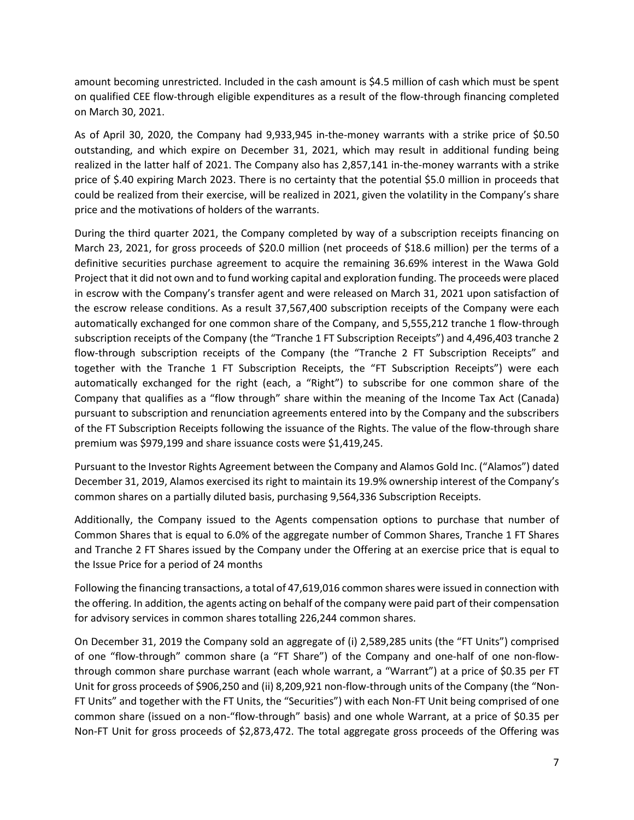amount becoming unrestricted. Included in the cash amount is \$4.5 million of cash which must be spent on qualified CEE flow-through eligible expenditures as a result of the flow-through financing completed on March 30, 2021.

As of April 30, 2020, the Company had 9,933,945 in-the-money warrants with a strike price of \$0.50 outstanding, and which expire on December 31, 2021, which may result in additional funding being realized in the latter half of 2021. The Company also has 2,857,141 in-the-money warrants with a strike price of \$.40 expiring March 2023. There is no certainty that the potential \$5.0 million in proceeds that could be realized from their exercise, will be realized in 2021, given the volatility in the Company's share price and the motivations of holders of the warrants.

During the third quarter 2021, the Company completed by way of a subscription receipts financing on March 23, 2021, for gross proceeds of \$20.0 million (net proceeds of \$18.6 million) per the terms of a definitive securities purchase agreement to acquire the remaining 36.69% interest in the Wawa Gold Project that it did not own and to fund working capital and exploration funding. The proceeds were placed in escrow with the Company's transfer agent and were released on March 31, 2021 upon satisfaction of the escrow release conditions. As a result 37,567,400 subscription receipts of the Company were each automatically exchanged for one common share of the Company, and 5,555,212 tranche 1 flow-through subscription receipts of the Company (the "Tranche 1 FT Subscription Receipts") and 4,496,403 tranche 2 flow-through subscription receipts of the Company (the "Tranche 2 FT Subscription Receipts" and together with the Tranche 1 FT Subscription Receipts, the "FT Subscription Receipts") were each automatically exchanged for the right (each, a "Right") to subscribe for one common share of the Company that qualifies as a "flow through" share within the meaning of the Income Tax Act (Canada) pursuant to subscription and renunciation agreements entered into by the Company and the subscribers of the FT Subscription Receipts following the issuance of the Rights. The value of the flow-through share premium was \$979,199 and share issuance costs were \$1,419,245.

Pursuant to the Investor Rights Agreement between the Company and Alamos Gold Inc. ("Alamos") dated December 31, 2019, Alamos exercised its right to maintain its 19.9% ownership interest of the Company's common shares on a partially diluted basis, purchasing 9,564,336 Subscription Receipts.

Additionally, the Company issued to the Agents compensation options to purchase that number of Common Shares that is equal to 6.0% of the aggregate number of Common Shares, Tranche 1 FT Shares and Tranche 2 FT Shares issued by the Company under the Offering at an exercise price that is equal to the Issue Price for a period of 24 months

Following the financing transactions, a total of 47,619,016 common shares were issued in connection with the offering. In addition, the agents acting on behalf of the company were paid part of their compensation for advisory services in common shares totalling 226,244 common shares.

On December 31, 2019 the Company sold an aggregate of (i) 2,589,285 units (the "FT Units") comprised of one "flow-through" common share (a "FT Share") of the Company and one-half of one non-flowthrough common share purchase warrant (each whole warrant, a "Warrant") at a price of \$0.35 per FT Unit for gross proceeds of \$906,250 and (ii) 8,209,921 non-flow-through units of the Company (the "Non-FT Units" and together with the FT Units, the "Securities") with each Non-FT Unit being comprised of one common share (issued on a non-"flow-through" basis) and one whole Warrant, at a price of \$0.35 per Non-FT Unit for gross proceeds of \$2,873,472. The total aggregate gross proceeds of the Offering was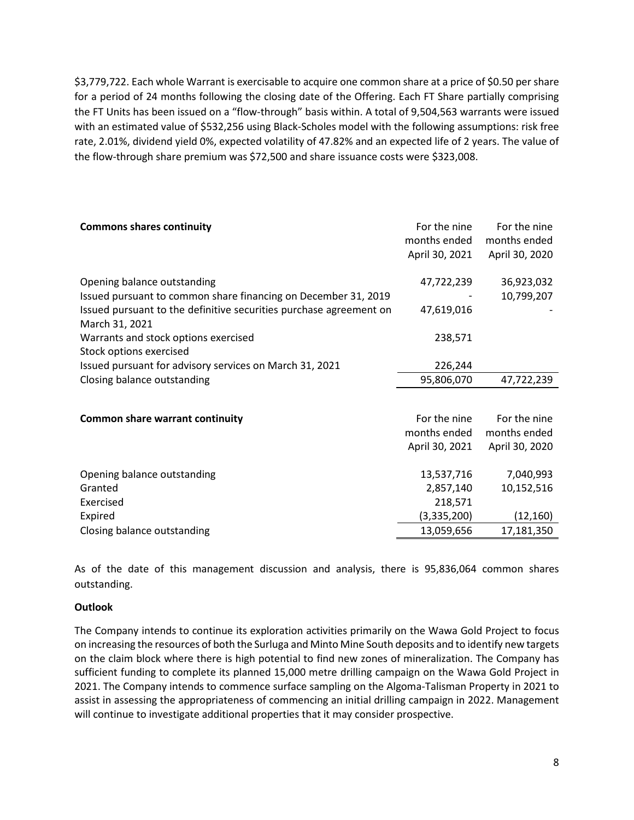\$3,779,722. Each whole Warrant is exercisable to acquire one common share at a price of \$0.50 per share for a period of 24 months following the closing date of the Offering. Each FT Share partially comprising the FT Units has been issued on a "flow-through" basis within. A total of 9,504,563 warrants were issued with an estimated value of \$532,256 using Black-Scholes model with the following assumptions: risk free rate, 2.01%, dividend yield 0%, expected volatility of 47.82% and an expected life of 2 years. The value of the flow-through share premium was \$72,500 and share issuance costs were \$323,008.

| <b>Commons shares continuity</b>                                                     | For the nine   | For the nine   |  |
|--------------------------------------------------------------------------------------|----------------|----------------|--|
|                                                                                      | months ended   | months ended   |  |
|                                                                                      | April 30, 2021 | April 30, 2020 |  |
| Opening balance outstanding                                                          | 47,722,239     | 36,923,032     |  |
| Issued pursuant to common share financing on December 31, 2019                       |                | 10,799,207     |  |
| Issued pursuant to the definitive securities purchase agreement on<br>March 31, 2021 | 47,619,016     |                |  |
| Warrants and stock options exercised<br>Stock options exercised                      | 238,571        |                |  |
| Issued pursuant for advisory services on March 31, 2021                              | 226,244        |                |  |
| Closing balance outstanding                                                          | 95,806,070     | 47,722,239     |  |
|                                                                                      |                |                |  |
| <b>Common share warrant continuity</b>                                               | For the nine   | For the nine   |  |
|                                                                                      | months ended   | months ended   |  |
|                                                                                      | April 30, 2021 | April 30, 2020 |  |
| Opening balance outstanding                                                          | 13,537,716     | 7,040,993      |  |
| Granted                                                                              | 2,857,140      | 10,152,516     |  |
| Exercised                                                                            | 218,571        |                |  |
| Expired                                                                              | (3,335,200)    | (12, 160)      |  |
| Closing balance outstanding                                                          | 13,059,656     | 17,181,350     |  |

As of the date of this management discussion and analysis, there is 95,836,064 common shares outstanding.

## **Outlook**

The Company intends to continue its exploration activities primarily on the Wawa Gold Project to focus on increasing the resources of both the Surluga and Minto Mine South deposits and to identify new targets on the claim block where there is high potential to find new zones of mineralization. The Company has sufficient funding to complete its planned 15,000 metre drilling campaign on the Wawa Gold Project in 2021. The Company intends to commence surface sampling on the Algoma-Talisman Property in 2021 to assist in assessing the appropriateness of commencing an initial drilling campaign in 2022. Management will continue to investigate additional properties that it may consider prospective.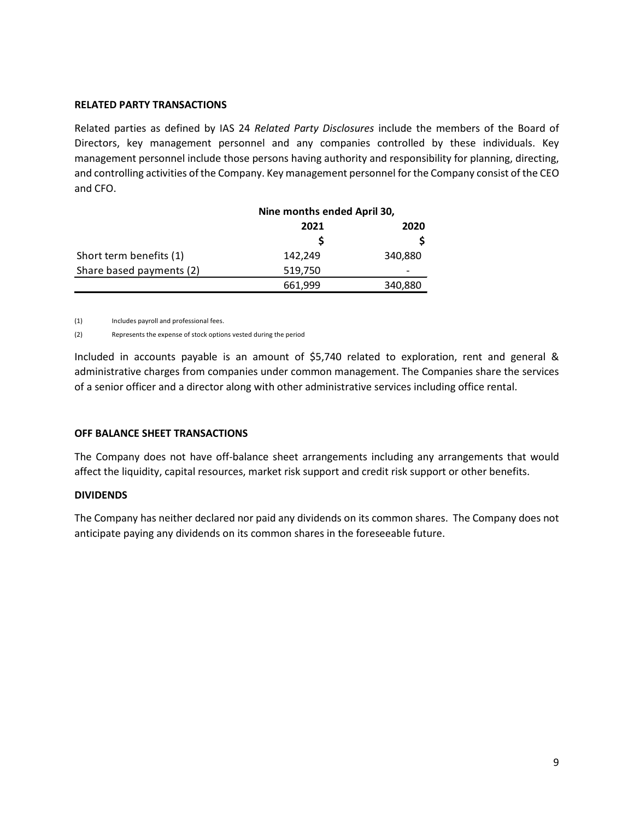### **RELATED PARTY TRANSACTIONS**

Related parties as defined by IAS 24 *Related Party Disclosures* include the members of the Board of Directors, key management personnel and any companies controlled by these individuals. Key management personnel include those persons having authority and responsibility for planning, directing, and controlling activities of the Company. Key management personnel for the Company consist of the CEO and CFO.

|                          | Nine months ended April 30, |                          |  |  |
|--------------------------|-----------------------------|--------------------------|--|--|
|                          | 2021                        | 2020                     |  |  |
|                          |                             |                          |  |  |
| Short term benefits (1)  | 142,249                     | 340,880                  |  |  |
| Share based payments (2) | 519,750                     | $\overline{\phantom{a}}$ |  |  |
|                          | 661,999                     | 340,880                  |  |  |

(1) Includes payroll and professional fees.

(2) Represents the expense of stock options vested during the period

Included in accounts payable is an amount of \$5,740 related to exploration, rent and general & administrative charges from companies under common management. The Companies share the services of a senior officer and a director along with other administrative services including office rental.

## **OFF BALANCE SHEET TRANSACTIONS**

The Company does not have off-balance sheet arrangements including any arrangements that would affect the liquidity, capital resources, market risk support and credit risk support or other benefits.

### **DIVIDENDS**

The Company has neither declared nor paid any dividends on its common shares. The Company does not anticipate paying any dividends on its common shares in the foreseeable future.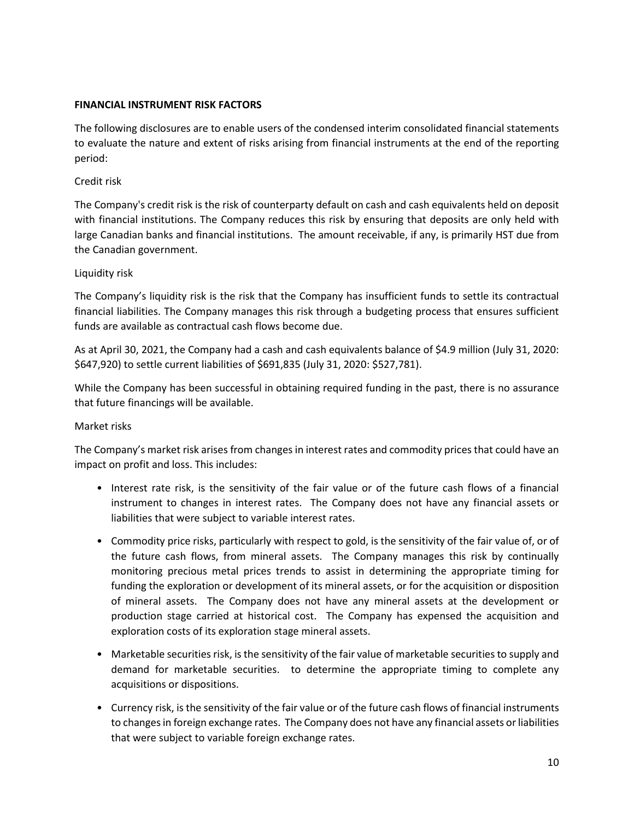## **FINANCIAL INSTRUMENT RISK FACTORS**

The following disclosures are to enable users of the condensed interim consolidated financial statements to evaluate the nature and extent of risks arising from financial instruments at the end of the reporting period:

# Credit risk

The Company's credit risk is the risk of counterparty default on cash and cash equivalents held on deposit with financial institutions. The Company reduces this risk by ensuring that deposits are only held with large Canadian banks and financial institutions. The amount receivable, if any, is primarily HST due from the Canadian government.

# Liquidity risk

The Company's liquidity risk is the risk that the Company has insufficient funds to settle its contractual financial liabilities. The Company manages this risk through a budgeting process that ensures sufficient funds are available as contractual cash flows become due.

As at April 30, 2021, the Company had a cash and cash equivalents balance of \$4.9 million (July 31, 2020: \$647,920) to settle current liabilities of \$691,835 (July 31, 2020: \$527,781).

While the Company has been successful in obtaining required funding in the past, there is no assurance that future financings will be available.

## Market risks

The Company's market risk arises from changes in interest rates and commodity prices that could have an impact on profit and loss. This includes:

- Interest rate risk, is the sensitivity of the fair value or of the future cash flows of a financial instrument to changes in interest rates. The Company does not have any financial assets or liabilities that were subject to variable interest rates.
- Commodity price risks, particularly with respect to gold, is the sensitivity of the fair value of, or of the future cash flows, from mineral assets. The Company manages this risk by continually monitoring precious metal prices trends to assist in determining the appropriate timing for funding the exploration or development of its mineral assets, or for the acquisition or disposition of mineral assets. The Company does not have any mineral assets at the development or production stage carried at historical cost. The Company has expensed the acquisition and exploration costs of its exploration stage mineral assets.
- Marketable securities risk, is the sensitivity of the fair value of marketable securities to supply and demand for marketable securities. to determine the appropriate timing to complete any acquisitions or dispositions.
- Currency risk, is the sensitivity of the fair value or of the future cash flows of financial instruments to changes in foreign exchange rates. The Company does not have any financial assets or liabilities that were subject to variable foreign exchange rates.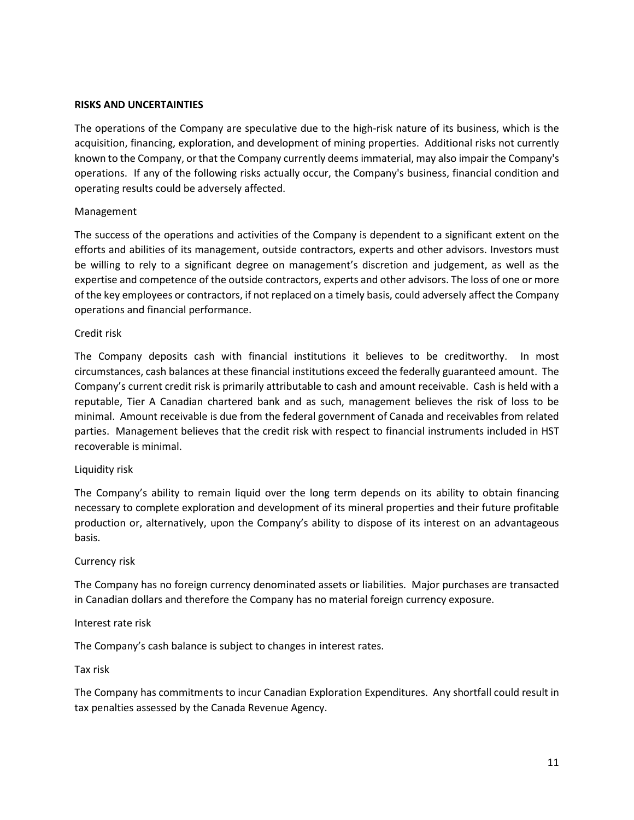### **RISKS AND UNCERTAINTIES**

The operations of the Company are speculative due to the high-risk nature of its business, which is the acquisition, financing, exploration, and development of mining properties. Additional risks not currently known to the Company, or that the Company currently deems immaterial, may also impair the Company's operations. If any of the following risks actually occur, the Company's business, financial condition and operating results could be adversely affected.

### Management

The success of the operations and activities of the Company is dependent to a significant extent on the efforts and abilities of its management, outside contractors, experts and other advisors. Investors must be willing to rely to a significant degree on management's discretion and judgement, as well as the expertise and competence of the outside contractors, experts and other advisors. The loss of one or more of the key employees or contractors, if not replaced on a timely basis, could adversely affect the Company operations and financial performance.

### Credit risk

The Company deposits cash with financial institutions it believes to be creditworthy. In most circumstances, cash balances at these financial institutions exceed the federally guaranteed amount. The Company's current credit risk is primarily attributable to cash and amount receivable. Cash is held with a reputable, Tier A Canadian chartered bank and as such, management believes the risk of loss to be minimal. Amount receivable is due from the federal government of Canada and receivables from related parties. Management believes that the credit risk with respect to financial instruments included in HST recoverable is minimal.

### Liquidity risk

The Company's ability to remain liquid over the long term depends on its ability to obtain financing necessary to complete exploration and development of its mineral properties and their future profitable production or, alternatively, upon the Company's ability to dispose of its interest on an advantageous basis.

### Currency risk

The Company has no foreign currency denominated assets or liabilities. Major purchases are transacted in Canadian dollars and therefore the Company has no material foreign currency exposure.

### Interest rate risk

The Company's cash balance is subject to changes in interest rates.

### Tax risk

The Company has commitments to incur Canadian Exploration Expenditures. Any shortfall could result in tax penalties assessed by the Canada Revenue Agency.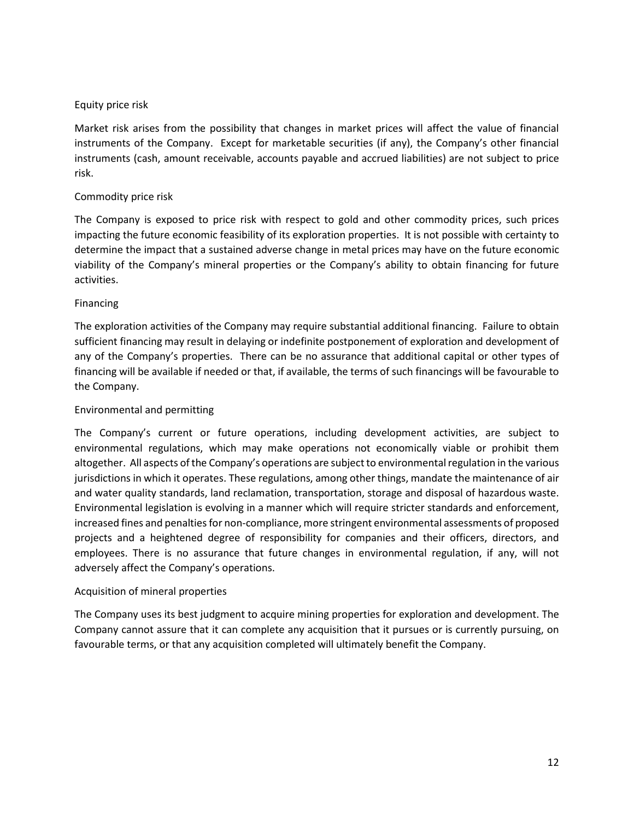## Equity price risk

Market risk arises from the possibility that changes in market prices will affect the value of financial instruments of the Company. Except for marketable securities (if any), the Company's other financial instruments (cash, amount receivable, accounts payable and accrued liabilities) are not subject to price risk.

## Commodity price risk

The Company is exposed to price risk with respect to gold and other commodity prices, such prices impacting the future economic feasibility of its exploration properties. It is not possible with certainty to determine the impact that a sustained adverse change in metal prices may have on the future economic viability of the Company's mineral properties or the Company's ability to obtain financing for future activities.

## Financing

The exploration activities of the Company may require substantial additional financing. Failure to obtain sufficient financing may result in delaying or indefinite postponement of exploration and development of any of the Company's properties. There can be no assurance that additional capital or other types of financing will be available if needed or that, if available, the terms of such financings will be favourable to the Company.

# Environmental and permitting

The Company's current or future operations, including development activities, are subject to environmental regulations, which may make operations not economically viable or prohibit them altogether. All aspects of the Company's operations are subject to environmental regulation in the various jurisdictions in which it operates. These regulations, among other things, mandate the maintenance of air and water quality standards, land reclamation, transportation, storage and disposal of hazardous waste. Environmental legislation is evolving in a manner which will require stricter standards and enforcement, increased fines and penalties for non-compliance, more stringent environmental assessments of proposed projects and a heightened degree of responsibility for companies and their officers, directors, and employees. There is no assurance that future changes in environmental regulation, if any, will not adversely affect the Company's operations.

## Acquisition of mineral properties

The Company uses its best judgment to acquire mining properties for exploration and development. The Company cannot assure that it can complete any acquisition that it pursues or is currently pursuing, on favourable terms, or that any acquisition completed will ultimately benefit the Company.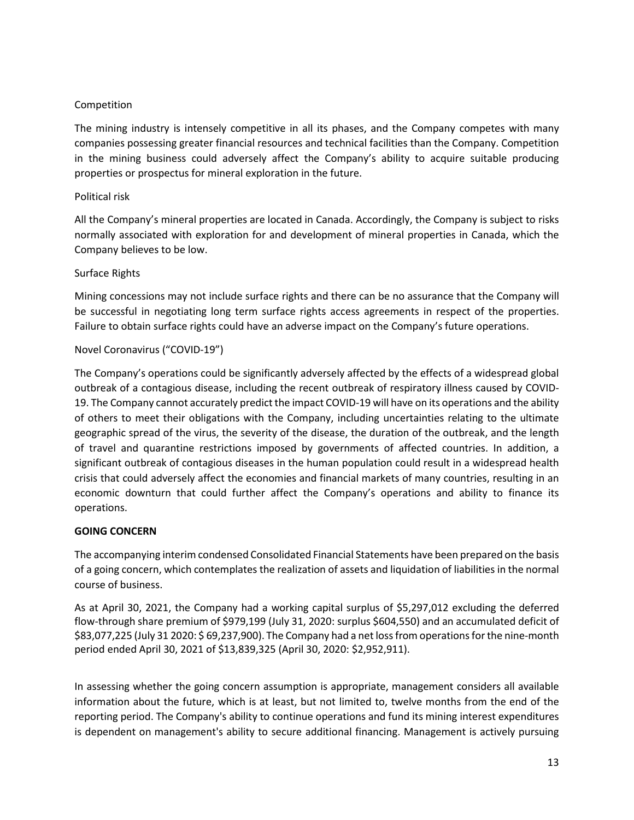# Competition

The mining industry is intensely competitive in all its phases, and the Company competes with many companies possessing greater financial resources and technical facilities than the Company. Competition in the mining business could adversely affect the Company's ability to acquire suitable producing properties or prospectus for mineral exploration in the future.

## Political risk

All the Company's mineral properties are located in Canada. Accordingly, the Company is subject to risks normally associated with exploration for and development of mineral properties in Canada, which the Company believes to be low.

# Surface Rights

Mining concessions may not include surface rights and there can be no assurance that the Company will be successful in negotiating long term surface rights access agreements in respect of the properties. Failure to obtain surface rights could have an adverse impact on the Company's future operations.

# Novel Coronavirus ("COVID-19")

The Company's operations could be significantly adversely affected by the effects of a widespread global outbreak of a contagious disease, including the recent outbreak of respiratory illness caused by COVID-19. The Company cannot accurately predict the impact COVID-19 will have on its operations and the ability of others to meet their obligations with the Company, including uncertainties relating to the ultimate geographic spread of the virus, the severity of the disease, the duration of the outbreak, and the length of travel and quarantine restrictions imposed by governments of affected countries. In addition, a significant outbreak of contagious diseases in the human population could result in a widespread health crisis that could adversely affect the economies and financial markets of many countries, resulting in an economic downturn that could further affect the Company's operations and ability to finance its operations.

## **GOING CONCERN**

The accompanying interim condensed Consolidated Financial Statements have been prepared on the basis of a going concern, which contemplates the realization of assets and liquidation of liabilities in the normal course of business.

As at April 30, 2021, the Company had a working capital surplus of \$5,297,012 excluding the deferred flow-through share premium of \$979,199 (July 31, 2020: surplus \$604,550) and an accumulated deficit of \$83,077,225 (July 31 2020: \$ 69,237,900). The Company had a net loss from operations for the nine-month period ended April 30, 2021 of \$13,839,325 (April 30, 2020: \$2,952,911).

In assessing whether the going concern assumption is appropriate, management considers all available information about the future, which is at least, but not limited to, twelve months from the end of the reporting period. The Company's ability to continue operations and fund its mining interest expenditures is dependent on management's ability to secure additional financing. Management is actively pursuing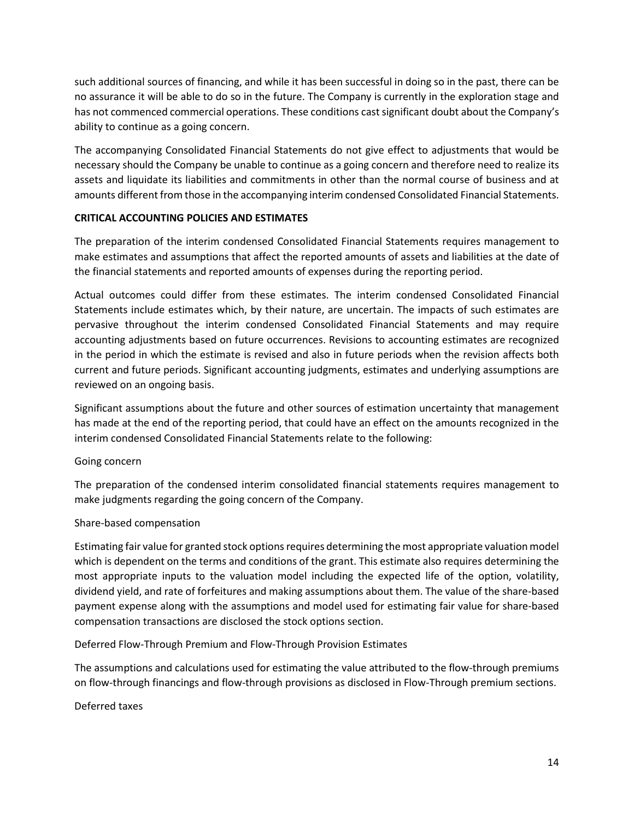such additional sources of financing, and while it has been successful in doing so in the past, there can be no assurance it will be able to do so in the future. The Company is currently in the exploration stage and has not commenced commercial operations. These conditions cast significant doubt about the Company's ability to continue as a going concern.

The accompanying Consolidated Financial Statements do not give effect to adjustments that would be necessary should the Company be unable to continue as a going concern and therefore need to realize its assets and liquidate its liabilities and commitments in other than the normal course of business and at amounts different from those in the accompanying interim condensed Consolidated Financial Statements.

## **CRITICAL ACCOUNTING POLICIES AND ESTIMATES**

The preparation of the interim condensed Consolidated Financial Statements requires management to make estimates and assumptions that affect the reported amounts of assets and liabilities at the date of the financial statements and reported amounts of expenses during the reporting period.

Actual outcomes could differ from these estimates. The interim condensed Consolidated Financial Statements include estimates which, by their nature, are uncertain. The impacts of such estimates are pervasive throughout the interim condensed Consolidated Financial Statements and may require accounting adjustments based on future occurrences. Revisions to accounting estimates are recognized in the period in which the estimate is revised and also in future periods when the revision affects both current and future periods. Significant accounting judgments, estimates and underlying assumptions are reviewed on an ongoing basis.

Significant assumptions about the future and other sources of estimation uncertainty that management has made at the end of the reporting period, that could have an effect on the amounts recognized in the interim condensed Consolidated Financial Statements relate to the following:

Going concern

The preparation of the condensed interim consolidated financial statements requires management to make judgments regarding the going concern of the Company.

## Share-based compensation

Estimating fair value for granted stock options requires determining the most appropriate valuation model which is dependent on the terms and conditions of the grant. This estimate also requires determining the most appropriate inputs to the valuation model including the expected life of the option, volatility, dividend yield, and rate of forfeitures and making assumptions about them. The value of the share-based payment expense along with the assumptions and model used for estimating fair value for share-based compensation transactions are disclosed the stock options section.

Deferred Flow-Through Premium and Flow-Through Provision Estimates

The assumptions and calculations used for estimating the value attributed to the flow-through premiums on flow-through financings and flow-through provisions as disclosed in Flow-Through premium sections.

Deferred taxes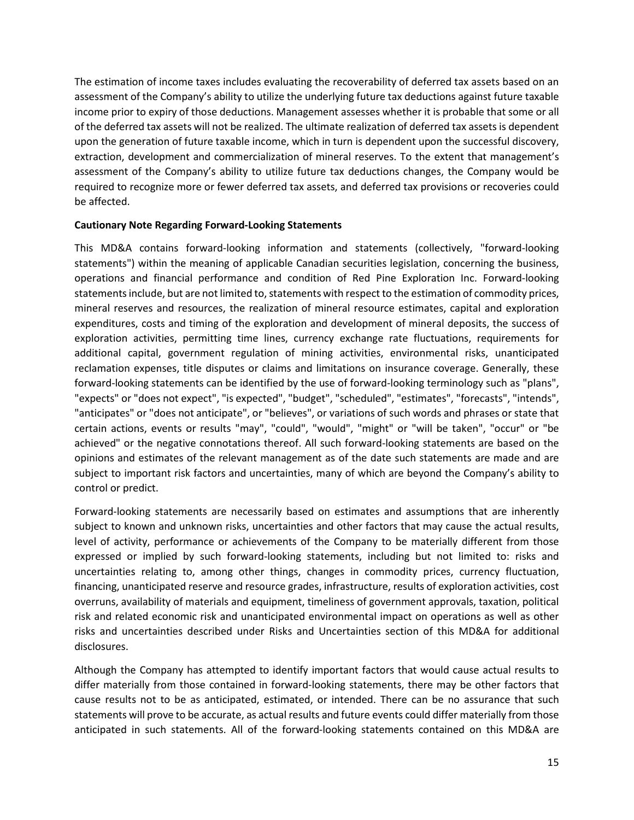The estimation of income taxes includes evaluating the recoverability of deferred tax assets based on an assessment of the Company's ability to utilize the underlying future tax deductions against future taxable income prior to expiry of those deductions. Management assesses whether it is probable that some or all of the deferred tax assets will not be realized. The ultimate realization of deferred tax assets is dependent upon the generation of future taxable income, which in turn is dependent upon the successful discovery, extraction, development and commercialization of mineral reserves. To the extent that management's assessment of the Company's ability to utilize future tax deductions changes, the Company would be required to recognize more or fewer deferred tax assets, and deferred tax provisions or recoveries could be affected.

## **Cautionary Note Regarding Forward-Looking Statements**

This MD&A contains forward-looking information and statements (collectively, "forward-looking statements") within the meaning of applicable Canadian securities legislation, concerning the business, operations and financial performance and condition of Red Pine Exploration Inc. Forward-looking statements include, but are not limited to, statements with respect to the estimation of commodity prices, mineral reserves and resources, the realization of mineral resource estimates, capital and exploration expenditures, costs and timing of the exploration and development of mineral deposits, the success of exploration activities, permitting time lines, currency exchange rate fluctuations, requirements for additional capital, government regulation of mining activities, environmental risks, unanticipated reclamation expenses, title disputes or claims and limitations on insurance coverage. Generally, these forward-looking statements can be identified by the use of forward-looking terminology such as "plans", "expects" or "does not expect", "is expected", "budget", "scheduled", "estimates", "forecasts", "intends", "anticipates" or "does not anticipate", or "believes", or variations of such words and phrases or state that certain actions, events or results "may", "could", "would", "might" or "will be taken", "occur" or "be achieved" or the negative connotations thereof. All such forward-looking statements are based on the opinions and estimates of the relevant management as of the date such statements are made and are subject to important risk factors and uncertainties, many of which are beyond the Company's ability to control or predict.

Forward-looking statements are necessarily based on estimates and assumptions that are inherently subject to known and unknown risks, uncertainties and other factors that may cause the actual results, level of activity, performance or achievements of the Company to be materially different from those expressed or implied by such forward-looking statements, including but not limited to: risks and uncertainties relating to, among other things, changes in commodity prices, currency fluctuation, financing, unanticipated reserve and resource grades, infrastructure, results of exploration activities, cost overruns, availability of materials and equipment, timeliness of government approvals, taxation, political risk and related economic risk and unanticipated environmental impact on operations as well as other risks and uncertainties described under Risks and Uncertainties section of this MD&A for additional disclosures.

Although the Company has attempted to identify important factors that would cause actual results to differ materially from those contained in forward-looking statements, there may be other factors that cause results not to be as anticipated, estimated, or intended. There can be no assurance that such statements will prove to be accurate, as actual results and future events could differ materially from those anticipated in such statements. All of the forward-looking statements contained on this MD&A are